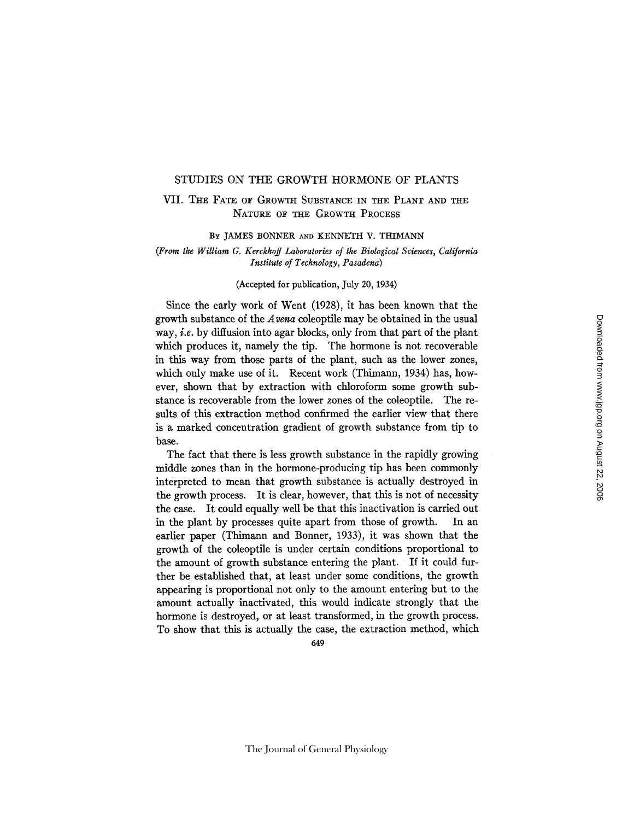# STUDIES ON THE GROWTH HORMONE OF PLANTS

# VII. THE FATE OF GROWTH SUBSTANCE IN THE PLANT AND THE NATURE OF THE GROWTH PROCESS

### BY JAMES BONNER AND KENNETH V. THIMANN

# *(From the William G. Kerckhoff Laboratories of the Biological Sciences, California Institute of Technology, Pasadena)*

## (Accepted for publication, July 20, 1934)

Since the early work of Went (1928), it has been known that the growth substance of the *Avena* coleoptile may be obtained in the usual way, *i.e.* by diffusion into agar blocks, only from that part of the plant which produces it, namely the tip. The hormone is not recoverable in this way from those parts of the plant, such as the lower zones, which only make use of it. Recent work (Thimann, 1934) has, however, shown that by extraction with chloroform some growth substance is recoverable from the lower zones of the coleoptile. The resuits of this extraction method confirmed the earlier view that there is a marked concentration gradient of growth substance from tip to base.

The fact that there is less growth substance in the rapidly growing middle zones than in the hormone-producing tip has been commonly interpreted to mean that growth substance is actually destroyed in the growth process. It is clear, however, that this is not of necessity the case. It could equally well be that this inactivation is carried out in the plant by processes quite apart from those of growth. In an earlier paper (Thimann and Bonner, 1933), it was shown that the growth of the coleoptile is under certain conditions proportional to the amount of growth substance entering the plant. If it could further be established that, at least under some conditions, the growth appearing is proportional not only to the amount entering but to the amount actually inactivated, this would indicate strongly that the hormone is destroyed, or at least transformed, in the growth process. To show that this is actually the case, the extraction method, which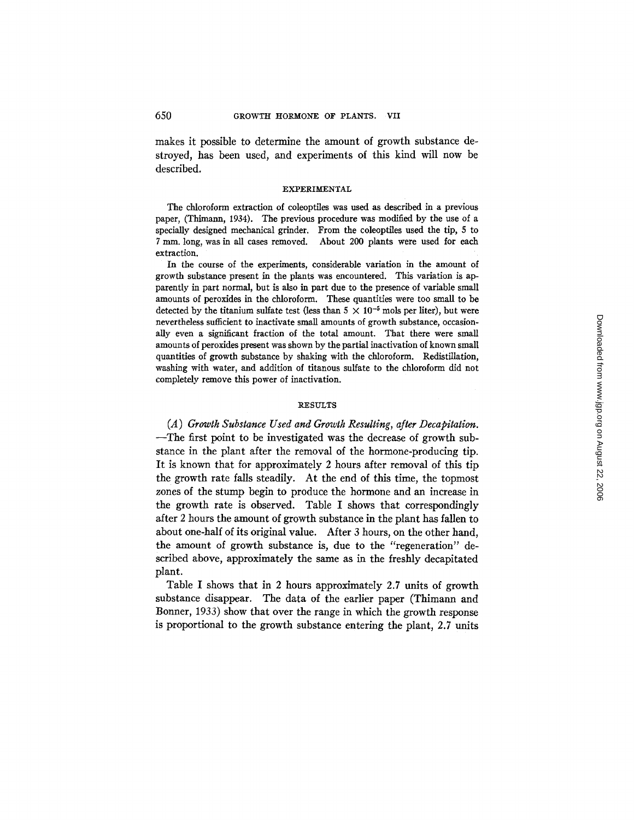makes it possible to determine the amount of growth substance destroyed, has been used, and experiments of this kind will now be described.

### EXPERIMENTAL

The chloroform extraction of coleoptiles was used as described in a previous paper, (Thimann, 1934). The previous procedure was modified by the use of a specially designed mechanical grinder. From the coleoptlles used the tip, 5 to 7 mm. long, was in all cases removed. About 200 plants were used for each extraction.

In the course of the experiments, considerable variation in the amount of growth substance present in the plants was encountered. This variation is apparently in part normal, but is also in part due to the presence of variable small amounts of peroxides in the chloroform. These quantities were too small to be detected by the titanium sulfate test (less than  $5 \times 10^{-5}$  mols per liter), but were nevertheless sufficient to inactivate small amounts of growth substance, occasionally even a significant fraction of the total amount. That there were small amounts of peroxides present was shown by the partial inactivation of known small quantities of growth substance by shaking with the chloroform. Redistillation, washing with water, and addition of titanous sulfate to the chloroform did not completely remove this power of inactivation.

### **RESULTS**

*(A ) Growth Substance Used and Growth Resulting, after Decapitation.*  --The first point to be investigated was the decrease of growth substance in the plant after the removal of the hormone-producing tip. It is known that for approximately 2 hours after removal of this tip the growth rate falls steadily. At the end of this time, the topmost zones of the stump begin to produce the hormone and an increase in the growth rate is observed. Table I shows that correspondingly after 2 hours the amount of growth substance in the plant has fallen to about one-half of its original value. After 3 hours, on the other hand, the amount of growth substance is, due to the "regeneration" described above, approximately the same as in the freshly decapitated plant.

Table I shows that in 2 hours approximately 2.7 units of growth substance disappear. The data of the earlier paper (Thimann and Bonner, 1933) show that over the range in which the growth response is proportional to the growth substance entering the plant, 2.7 units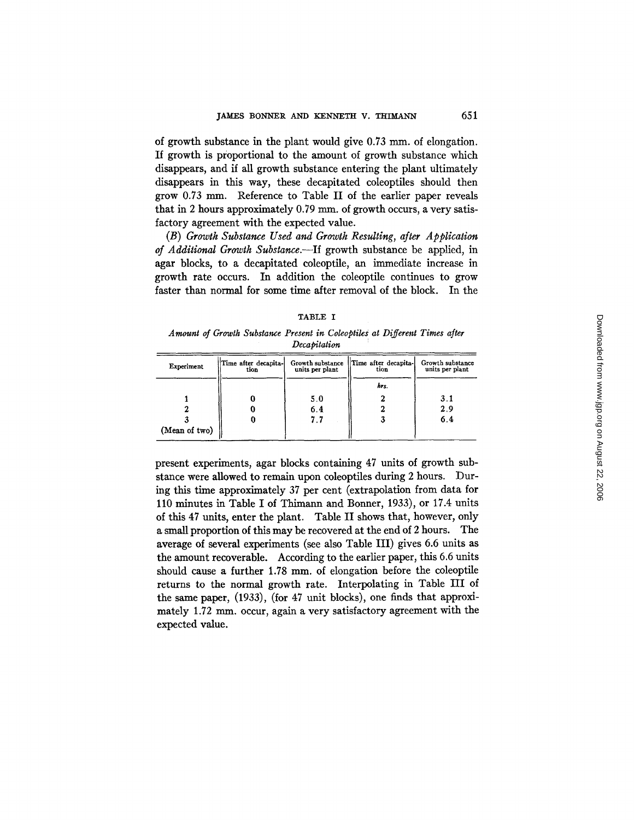of growth substance in the plant would give 0.73 mm. of elongation. If growth is proportional to the amount of growth substance which disappears, and if all growth substance entering the plant ultimately disappears in this way, these decapitated coleoptiles should then grow 0.73 mm. Reference to Table II of the earlier paper reveals that in 2 hours approximately  $0.79$  mm. of growth occurs, a very satisfactory agreement with the expected value.

*(B) Growth Substance Used and Growth Resulting, after Application of Additional Growth Substance.--If* growth substance be applied, in agar blocks, to a decapitated coleoptile, an immediate increase in growth rate occurs. In addition the coleoptile continues to grow faster than normal for some time after removal of the block. In the

| ٠ |  |
|---|--|
|---|--|

*Amount of Growth Substance Present in Coleoptiles at Different Times after Decapitation* 

| Experiment    | Time after decapita-<br>tion | Growth substance<br>units per plant | Time after decapita-<br>tion | Growth substance<br>units per plant |  |
|---------------|------------------------------|-------------------------------------|------------------------------|-------------------------------------|--|
|               |                              |                                     | hrs.                         |                                     |  |
|               |                              | 5.0                                 |                              | 3.1                                 |  |
|               |                              | 6.4                                 |                              | 2.9                                 |  |
|               | U                            | 7.7                                 |                              | 6.4                                 |  |
| (Mean of two) |                              |                                     |                              |                                     |  |

present experiments, agar blocks containing 47 units of growth substance were allowed to remain upon coleoptiles during 2 hours. During this time approximately 37 per cent (extrapolation from data for 110 minutes in Table I of Thimann and Bonner, 1933), or 17.4 units of this 47 units, enter the plant. Table II shows that, however, only a small proportion of this may be recovered at the end of 2 hours. The average of several experiments (see also Table III) gives 6.6 units as the amount recoverable. According to the earlier paper, this 6.6 units should cause a further 1.78 mm. of elongation before the coleoptile returns to the normal growth rate. Interpolating in Table III of the same paper, (1933), (for 47 unit blocks), one finds that approximately 1.72 mm. occur, again a very satisfactory agreement with the expected value.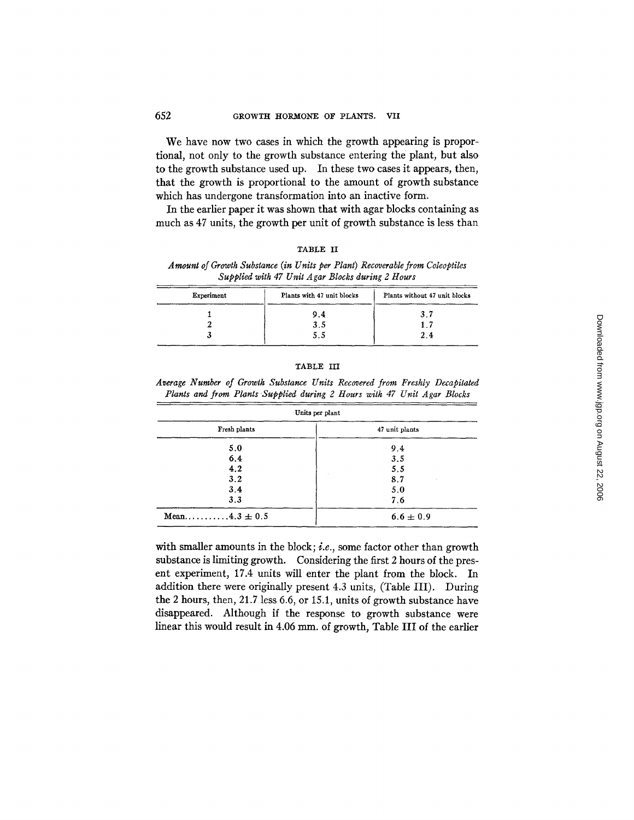We have now two cases in which the growth appearing is proportional, not only to the growth substance entering the plant, but also to the growth substance used up. In these two cases it appears, then, that the growth is proportional to the amount of growth substance which has undergone transformation into an inactive form.

In the earlier paper it was shown that with agar blocks containing as much as 47 units, the growth per unit of growth substance is less than

| в<br>г<br>. .<br>٠ |  |
|--------------------|--|
|--------------------|--|

A mount of Growth Substance (in Units per Plant) Recoverable from Coleoptiles *Supplied with 47 Unit A gar Blocks during 2 Hours* 

| Experiment | Plants with 47 unit blocks | Plants without 47 unit blocks |  |  |
|------------|----------------------------|-------------------------------|--|--|
|            | 9.4                        | 3.7                           |  |  |
|            | 3.5                        | 1.7                           |  |  |
|            | 5.5                        | 2.4                           |  |  |

## TABLE III

*Average Number of Growth Substance Units Recovered from Freshly Decapitated Plants and from Plants Supplied during 2 Hours with 47 Unit Agar Blocks* 

| Units per plant   |                |  |  |
|-------------------|----------------|--|--|
| Fresh plants      | 47 unit plants |  |  |
| 5.0               | 9.4            |  |  |
| 6.4               | 3.5            |  |  |
| 4.2               | 5.5            |  |  |
| 3.2               | 8.7            |  |  |
| 3.4               | 5.0            |  |  |
| 3,3               | 7.6            |  |  |
| Mean4.3 $\pm$ 0.5 | $6.6 \pm 0.9$  |  |  |

with smaller amounts in the block; *i.e.*, some factor other than growth substance is limiting growth. Considering the first 2 hours of the present experiment, 17.4 units will enter the plant from the block. In addition there were originally present 4.3 units, (Table III). During the 2 hours, then, 21.7 less 6.6, or 15.1, units of growth substance have disappeared. Although if the response to growth substance were linear this would result in 4.06 mm. of growth, Table III of the earlier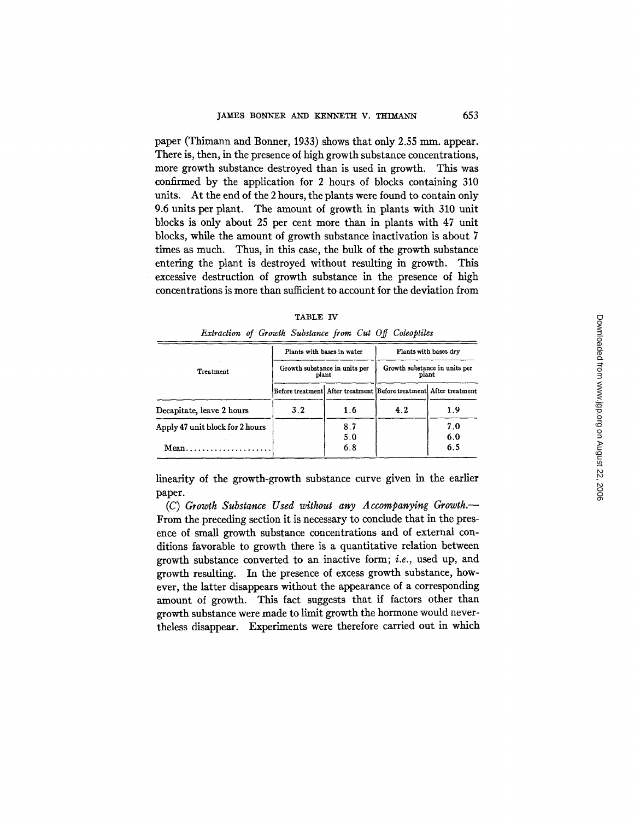paper (Thimann and Bonner, 1933) shows that only 2.55 mm. appear. There is, then, in the presence of high growth substance concentrations, more growth substance destroyed than is used in growth. This was confirmed by the application for 2 hours of blocks containing 310 units. At the end of the 2 hours, the plants were found to contain only 9.6 units per plant. The amount of growth in plants with 310 unit blocks is only about 25 per cent more than in plants with 47 unit blocks, while the amount of growth substance inactivation is about 7 times as much. Thus, in this case, the bulk of the growth substance entering the plant is destroyed without resulting in growth. This excessive destruction of growth substance in the presence of high concentrations is more than sufficient to account for the deviation from

| Extraction of Growth Substance from Cut Off Coleoptiles |                                        |            |                                                                   |                       |  |
|---------------------------------------------------------|----------------------------------------|------------|-------------------------------------------------------------------|-----------------------|--|
|                                                         | Plants with bases in water             |            |                                                                   | Plants with bases dry |  |
| Treatment                                               | Growth substance in units per<br>plant |            | Growth substance in units per<br>plant                            |                       |  |
|                                                         |                                        |            | Before treatment After treatment Before treatment After treatment |                       |  |
| Decapitate, leave 2 hours                               | 3.2                                    | 1.6        | 4.2                                                               | 1.9                   |  |
| Apply 47 unit block for 2 hours                         |                                        | 8.7<br>5.0 |                                                                   | 7.0<br>6.0            |  |
| $Mean \dots \dots \dots \dots \dots \dots \dots$        |                                        | 6.8        |                                                                   | 6.5                   |  |

TABLE IV

linearity of the growth-growth substance curve given in the earlier paper.

*(C) Growth Substance Used without any Accompanying Growth.--*  From the preceding section it is necessary to conclude that in the presence of small growth substance concentrations and of external conditions favorable to growth there is a quantitative relation between growth substance converted to an inactive form; *i.e.,* used up, and growth resulting. In the presence of excess growth substance, however, the latter disappears without the appearance of a corresponding amount of growth. This fact suggests that if factors other than growth substance were made to limit growth the hormone would nevertheless disappear. Experiments were therefore carried out in which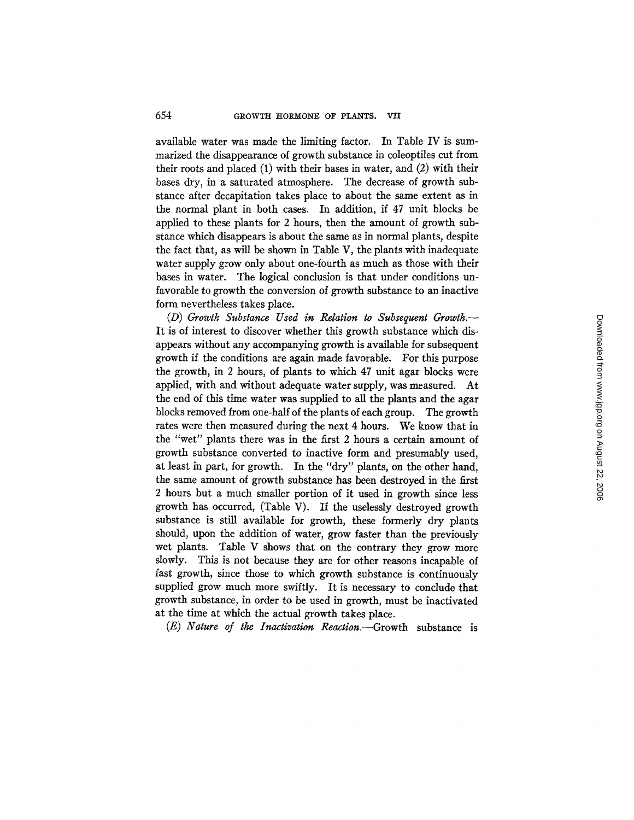available water was made the limiting factor. In Table IV is summarized the disappearance of growth substance in coleoptiles cut from their roots and placed (1) with their bases in water, and (2) with their bases dry, in a saturated atmosphere. The decrease of growth substance after decapitation takes place to about the same extent as in the normal plant in both cases. In addition, if 47 unit blocks be applied to these plants for 2 hours, then the amount of growth substance which disappears is about the same as in normal plants, despite the fact that, as will be shown in Table V, the plants with inadequate water supply grow only about one-fourth as much as those with their bases in water. The logical conclusion is that under conditions unfavorable to growth the conversion of growth substance to an inactive form nevertheless takes place.

*(D) Growth Substance Used in Relation to Subsequent Growth.-*  It is of interest to discover whether this growth substance which disappears without any accompanying growth is available for subsequent growth if the conditions are again made favorable. For this purpose the growth, in 2 hours, of plants to which 47 unit agar blocks were applied, with and without adequate water supply, was measured. At the end of this time water was supplied to all the plants and the agar blocks removed from one-half of the plants of each group. The growth rates were then measured during the next 4 hours. We know that in the "wet" plants there was in the first 2 hours a certain amount of growth substance converted to inactive form and presumably used, at least in part, for growth. In the "dry" plants, on the other hand, the same amount of growth substance has been destroyed in the first 2 hours but a much smaller portion of it used in growth since less growth has occurred, (Table V). If the uselessly destroyed growth substance is still available for growth, these formerly dry plants should, upon the addition of water, grow faster than the previously wet plants. Table V shows that on the contrary they grow more slowly. This is not because they are for other reasons incapable of fast growth, since those to which growth substance is continuously supplied grow much more swiftly. It is necessary to conclude that growth substance, in order to be used in growth, must be inactivated at the time at which the actual growth takes place.

*(E) Nature of the Inactivation Reaaion.--Growth* substance is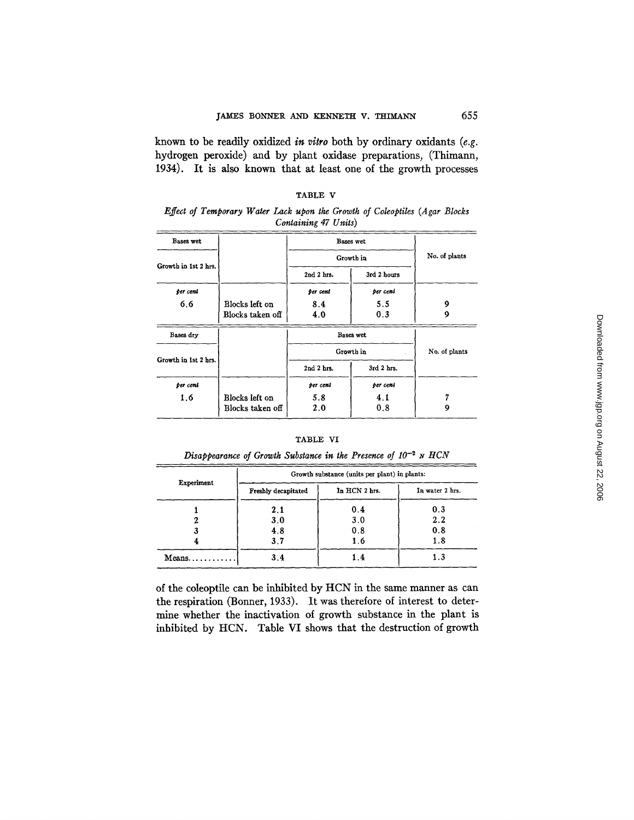known to be readily oxidized *in vitro* both by ordinary oxidants *(e.g.*  hydrogen peroxide) and by plant oxidase preparations, (Thimann, 1934). It is also known that at least one of the growth processes

|                      |                  | Containing 47 Units) |                |               |
|----------------------|------------------|----------------------|----------------|---------------|
| Bases wet            |                  | Bases wet            |                |               |
|                      |                  | Growth in            |                | No. of plants |
| Growth in 1st 2 hrs. |                  | 2nd 2 hrs.           | 3rd 2 hours    |               |
| per cent             |                  | per cent             | per cent       |               |
| 6.6                  | Blocks left on   | 8.4                  | 5.5            | 9             |
|                      | Blocks taken off | 4.0                  | 0.3            | 9             |
| Bases dry            |                  |                      | Bases wet      |               |
|                      |                  | Growth in            |                | No. of plants |
| Growth in 1st 2 hrs. |                  | 2nd 2 hrs.           | $3rd$ $2$ hrs. |               |
| per cent             |                  | per cent             | per cent       |               |

# TABLE V

*Effect of Temporary Water Lack upon the Growth of Coleoptiles (Agar Blocks Containing 47 Units)* 

### TABLE VI

1.6 Blocks left on 5.8 4.1 7<br>Blocks taken of 2.0 0.8 9

Blocks taken off

| Disappearance of Growth Substance in the Presence of $10^{-2}$ N HCN |  |  |  |  |  |  |
|----------------------------------------------------------------------|--|--|--|--|--|--|
|                                                                      |  |  |  |  |  |  |

|            | Growth substance (units per plant) in plants: |     |                 |  |  |  |
|------------|-----------------------------------------------|-----|-----------------|--|--|--|
| Experiment | In HCN 2 hrs.<br>Freshly decapitated          |     | In water 2 hrs. |  |  |  |
|            | 2.1                                           | 0.4 | 0.3             |  |  |  |
|            | 3.0                                           | 3.0 | 2.2             |  |  |  |
|            | 4.8                                           | 0.8 | 0.8             |  |  |  |
|            | 3.7                                           | 1.6 | 1.8             |  |  |  |
| $Means$    | 3,4                                           | 1.4 | 1.3             |  |  |  |

of the coleoptile can be inhibited by HCN in the same manner as can the respiration (Bonnet, 1933). It was therefore of interest to determine whether the inactivation of growth substance in the plant is inhibited by HCN. Table VI shows that the destruction of growth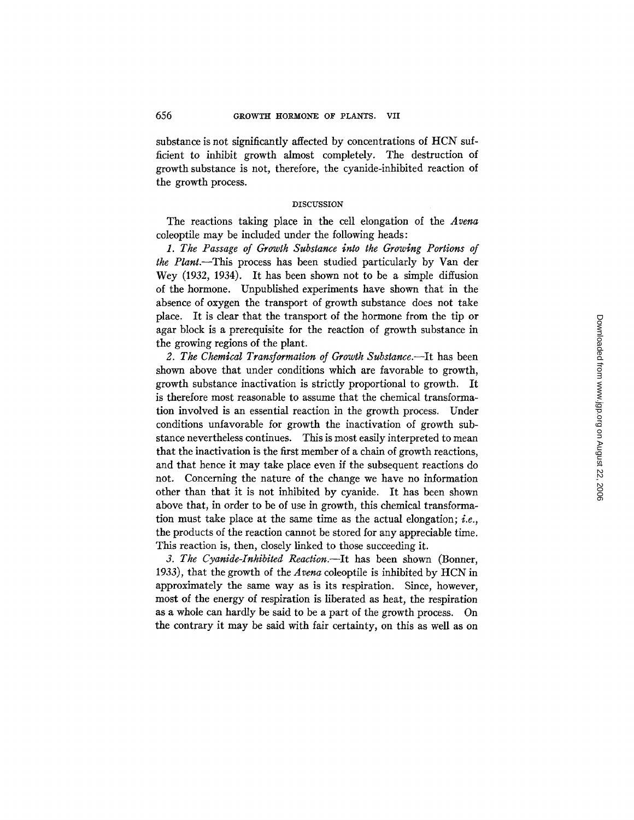substance is not significantly affected by concentrations of HCN sufficient to inhibit growth almost completely. The destruction of growth substance is not, therefore, the cyanide-inhibited reaction of the growth process.

## DISCUSSION

The reactions taking place in the cell elongation of the *Arena*  coleoptile may be included under the following heads:

*1. The Passage of Growth Substance into the Growing Portions of the Plant.--This* process has been studied particularly by Van der Wey (1932, 1934). It has been shown not to be a simple diffusion of the hormone. Unpublished experiments have shown that in the absence of oxygen the transport of growth substance does not take place. It is dear that the transport of the hormone from the tip or agar block is a prerequisite for the reaction of growth substance in the growing regions of the plant.

2. The Chemical Transformation of Growth Substance.--It has been shown above that under conditions which are favorable to growth, growth substance inactivation is strictly proportional to growth. It is therefore most reasonable to assume that the chemical transformation involved is an essential reaction in the growth process. Under conditions unfavorable for growth the inactivation of growth substance nevertheless continues. This is most easily interpreted to mean that the inactivation is the first member of a chain of growth reactions, and that hence it may take place even if the subsequent reactions do not. Concerning the nature of the change we have no information other than that it is not inhibited by cyanide. It has been shown above that, in order to be of use in growth, this chemical transformation must take place at the same time as the actual elongation; *i.e.,*  the products of the reaction cannot be stored for any appreciable time. This reaction is, then, closely linked to those succeeding it.

*3. The Cyanide-Inhibited Reaction.--It* has been shown (Bonnet, 1933), that the growth of the *Arena* coleoptile is inhibited by HCN in approximately the same way as is its respiration. Since, however, most of the energy of respiration is liberated as heat, the respiration as a whole can hardly be said to be a part of the growth process. On the contrary it may be said with fair certainty, on this as well as on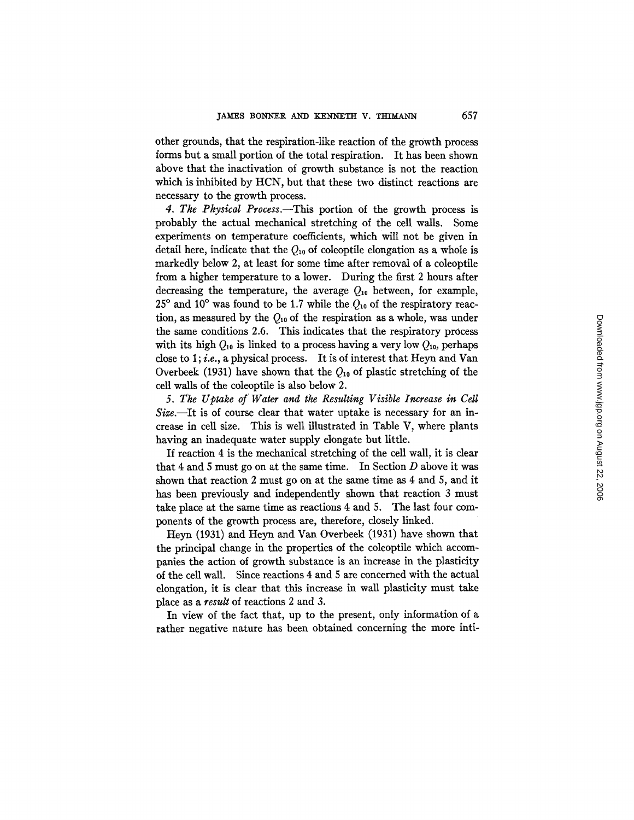other grounds, that the respiration-like reaction of the growth process forms but a small portion of the total respiration. It has been shown above that the inactivation of growth substance is not the reaction which is inhibited by HCN, but that these two distinct reactions are necessary to the growth process.

*4. The Physical Process.--This* portion of the growth process is probably the actual mechanical stretching of the cell walls. Some experiments on temperature coefficients, which will not be given in detail here, indicate that the  $Q_{10}$  of coleoptile elongation as a whole is markedly below 2, at least for some time after removal of a coleoptile from a higher temperature to a lower. During the first 2 hours after decreasing the temperature, the average  $Q_{10}$  between, for example,  $25^{\circ}$  and  $10^{\circ}$  was found to be 1.7 while the  $Q_{10}$  of the respiratory reaction, as measured by the  $Q_{10}$  of the respiration as a whole, was under the same conditions 2.6. This indicates that the respiratory process with its high  $Q_{10}$  is linked to a process having a very low  $Q_{10}$ , perhaps close to 1 ; *i.e.,* a physical process. It is of interest that Heyn and Van Overbeek (1931) have shown that the  $Q_{10}$  of plastic stretching of the cell walls of the coleoptile is also below 2.

*5. The Uptake of Water and the Resulting Visible Increase in Celt Size.--It* is of course clear that water uptake is necessary for an increase in cell size. This is well illustrated in Table V, where plants having an inadequate water supply elongate but little.

If reaction 4 is the mechanical stretching of the cell wall, it is clear that 4 and 5 must go on at the same time. In Section  $D$  above it was shown that reaction 2 must go on at the same time as 4 and S, and it has been previously and independently shown that reaction 3 must take place at the same time as reactions 4 and 5. The last four components of the growth process are, therefore, closely linked.

Heyn (1931) and Heyn and Van Overbeek (1931) have shown that the principal change in the properties of the coleoptile which accompanies the action of growth substance is an increase in the plasticity of the cell wall. Since reactions 4 and 5 are concerned with the actual elongation, it is clear that this increase in wall plasticity must take place as a *result* of reactions 2 and 3.

In view of the fact that, up to the present, only information of a rather negative nature has been obtained concerning the more inti